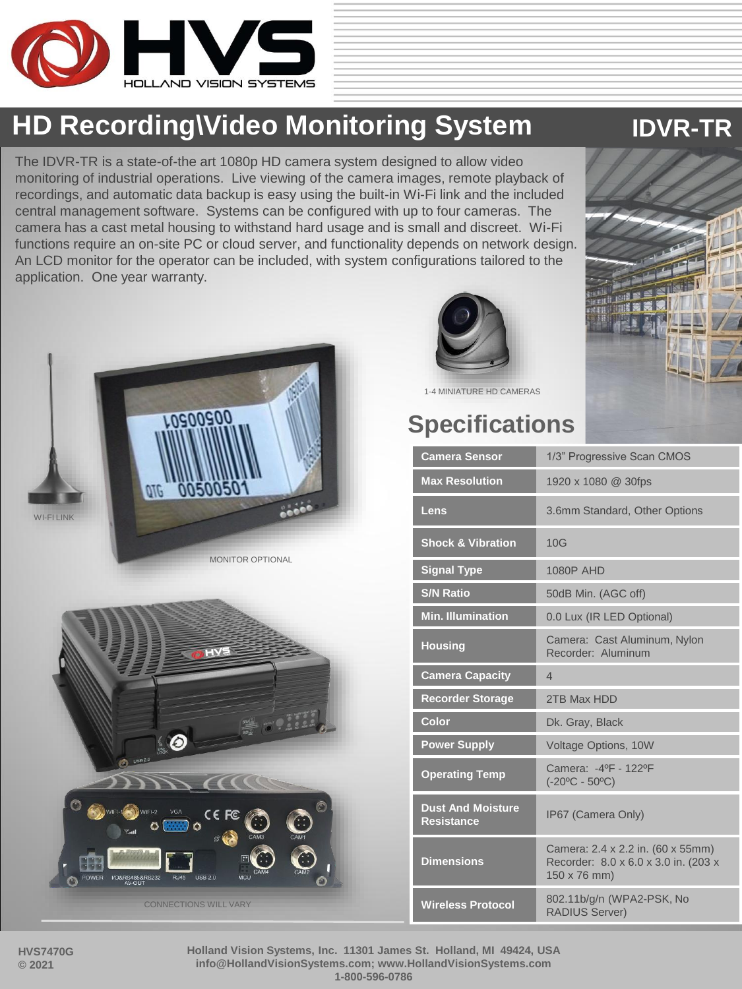

## **HD Recording\Video Monitoring System <b>IDVR-TR**

The IDVR-TR is a state-of-the art 1080p HD camera system designed to allow video monitoring of industrial operations. Live viewing of the camera images, remote playback of recordings, and automatic data backup is easy using the built-in Wi-Fi link and the included central management software. Systems can be configured with up to four cameras. The camera has a cast metal housing to withstand hard usage and is small and discreet. Wi-Fi functions require an on-site PC or cloud server, and functionality depends on network design. An LCD monitor for the operator can be included, with system configurations tailored to the application. One year warranty.









1-4 MINIATURE HD CAMERAS

## **Specifications**

| <b>Camera Sensor</b>                          | 1/3" Progressive Scan CMOS                                                                |
|-----------------------------------------------|-------------------------------------------------------------------------------------------|
| <b>Max Resolution</b>                         | 1920 x 1080 @ 30fps                                                                       |
| Lens                                          | 3.6mm Standard, Other Options                                                             |
| <b>Shock &amp; Vibration</b>                  | 10G                                                                                       |
| <b>Signal Type</b>                            | <b>1080P AHD</b>                                                                          |
| <b>S/N Ratio</b>                              | 50dB Min. (AGC off)                                                                       |
| <b>Min. Illumination</b>                      | 0.0 Lux (IR LED Optional)                                                                 |
| <b>Housing</b>                                | Camera: Cast Aluminum, Nylon<br>Recorder: Aluminum                                        |
| <b>Camera Capacity</b>                        | 4                                                                                         |
| <b>Recorder Storage</b>                       | 2TB Max HDD                                                                               |
| Color                                         | Dk. Gray, Black                                                                           |
| <b>Power Supply</b>                           | Voltage Options, 10W                                                                      |
| <b>Operating Temp</b>                         | Camera: -4ºF - 122ºF<br>$(-20°C - 50°C)$                                                  |
| <b>Dust And Moisture</b><br><b>Resistance</b> | IP67 (Camera Only)                                                                        |
| <b>Dimensions</b>                             | Camera: 2.4 x 2.2 in. (60 x 55mm)<br>Recorder: 8.0 x 6.0 x 3.0 in. (203 x<br>150 x 76 mm) |
| <b>Wireless Protocol</b>                      | 802.11b/g/n (WPA2-PSK, No<br><b>RADIUS Server)</b>                                        |

**Holland Vision Systems, Inc. 11301 James St. Holland, MI 49424, USA info@HollandVisionSystems.com; www.HollandVisionSystems.com 1-800-596-0786**